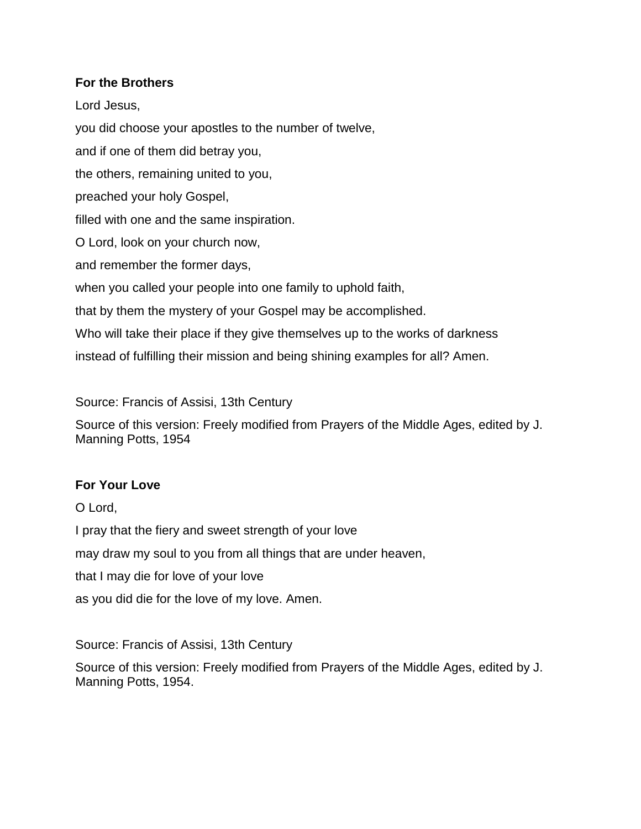## **For the Brothers**

Lord Jesus, you did choose your apostles to the number of twelve, and if one of them did betray you, the others, remaining united to you, preached your holy Gospel, filled with one and the same inspiration. O Lord, look on your church now, and remember the former days,

when you called your people into one family to uphold faith,

that by them the mystery of your Gospel may be accomplished.

Who will take their place if they give themselves up to the works of darkness

instead of fulfilling their mission and being shining examples for all? Amen.

Source: Francis of Assisi, 13th Century

Source of this version: Freely modified from Prayers of the Middle Ages, edited by J. Manning Potts, 1954

## **For Your Love**

O Lord,

I pray that the fiery and sweet strength of your love

may draw my soul to you from all things that are under heaven,

that I may die for love of your love

as you did die for the love of my love. Amen.

Source: Francis of Assisi, 13th Century

Source of this version: Freely modified from Prayers of the Middle Ages, edited by J. Manning Potts, 1954.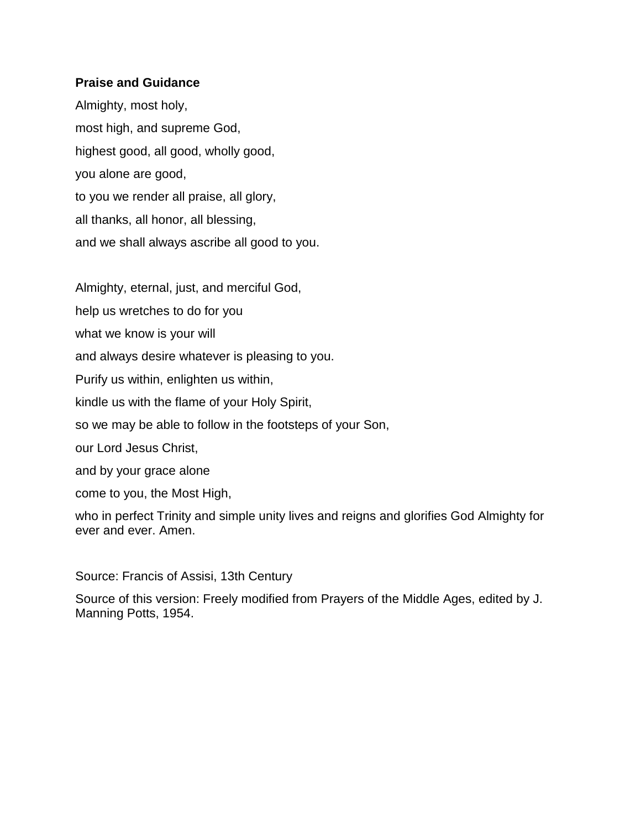#### **Praise and Guidance**

Almighty, most holy, most high, and supreme God, highest good, all good, wholly good, you alone are good, to you we render all praise, all glory, all thanks, all honor, all blessing, and we shall always ascribe all good to you.

Almighty, eternal, just, and merciful God,

help us wretches to do for you

what we know is your will

and always desire whatever is pleasing to you.

Purify us within, enlighten us within,

kindle us with the flame of your Holy Spirit,

so we may be able to follow in the footsteps of your Son,

our Lord Jesus Christ,

and by your grace alone

come to you, the Most High,

who in perfect Trinity and simple unity lives and reigns and glorifies God Almighty for ever and ever. Amen.

Source: Francis of Assisi, 13th Century

Source of this version: Freely modified from Prayers of the Middle Ages, edited by J. Manning Potts, 1954.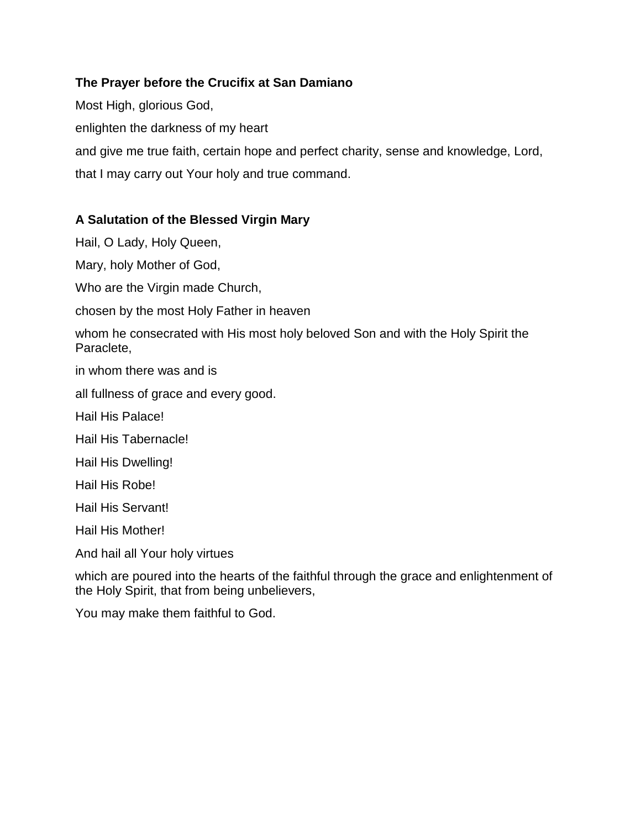# **The Prayer before the Crucifix at San Damiano**

Most High, glorious God, enlighten the darkness of my heart and give me true faith, certain hope and perfect charity, sense and knowledge, Lord, that I may carry out Your holy and true command.

# **A Salutation of the Blessed Virgin Mary**

Hail, O Lady, Holy Queen,

Mary, holy Mother of God,

Who are the Virgin made Church,

chosen by the most Holy Father in heaven

whom he consecrated with His most holy beloved Son and with the Holy Spirit the Paraclete,

in whom there was and is

all fullness of grace and every good.

Hail His Palace!

Hail His Tabernacle!

Hail His Dwelling!

Hail His Robe!

Hail His Servant!

Hail His Mother!

And hail all Your holy virtues

which are poured into the hearts of the faithful through the grace and enlightenment of the Holy Spirit, that from being unbelievers,

You may make them faithful to God.